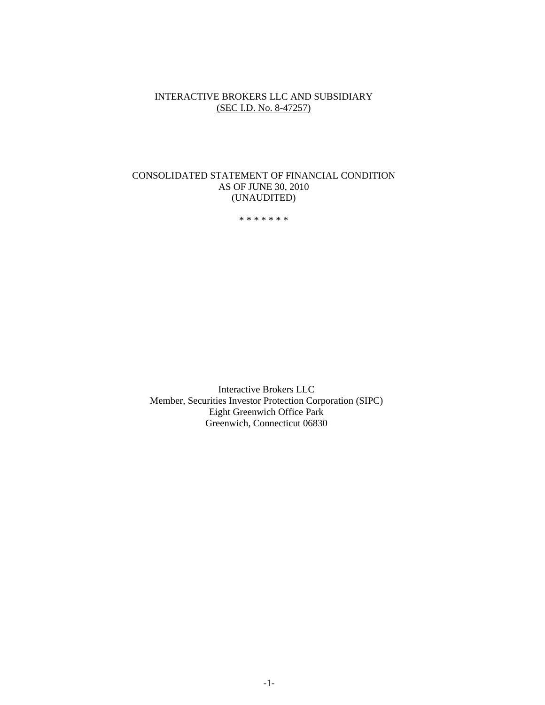## INTERACTIVE BROKERS LLC AND SUBSIDIARY (SEC I.D. No. 8-47257)

## CONSOLIDATED STATEMENT OF FINANCIAL CONDITION AS OF JUNE 30, 2010 (UNAUDITED)

\* \* \* \* \* \* \*

Interactive Brokers LLC Member, Securities Investor Protection Corporation (SIPC) Eight Greenwich Office Park Greenwich, Connecticut 06830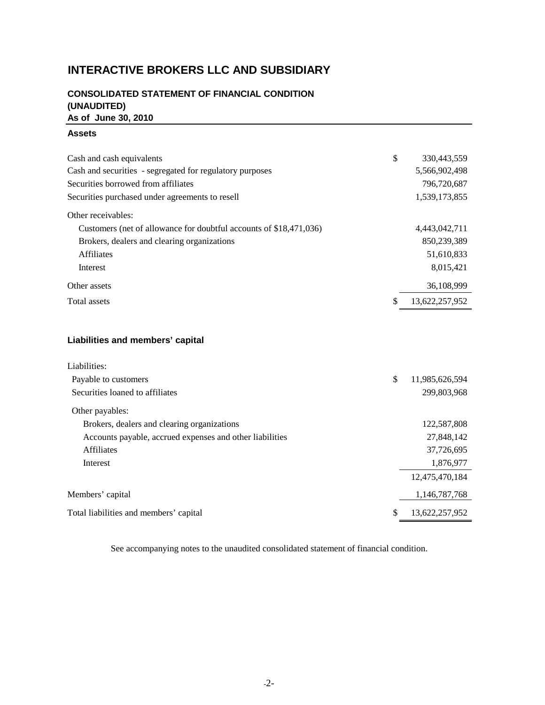# **INTERACTIVE BROKERS LLC AND SUBSIDIARY**

## **CONSOLIDATED STATEMENT OF FINANCIAL CONDITION (UNAUDITED) As of June 30, 2010**

#### **Assets**

| Cash and cash equivalents                                          | \$<br>330,443,559    |
|--------------------------------------------------------------------|----------------------|
| Cash and securities - segregated for regulatory purposes           | 5,566,902,498        |
| Securities borrowed from affiliates                                | 796,720,687          |
| Securities purchased under agreements to resell                    | 1,539,173,855        |
| Other receivables:                                                 |                      |
| Customers (net of allowance for doubtful accounts of \$18,471,036) | 4,443,042,711        |
| Brokers, dealers and clearing organizations                        | 850.239.389          |
| <b>Affiliates</b>                                                  | 51,610,833           |
| Interest                                                           | 8.015.421            |
| Other assets                                                       | 36,108,999           |
| Total assets                                                       | \$<br>13,622,257,952 |

## **Liabilities and members' capital**

| Liabilities:                                             |                      |
|----------------------------------------------------------|----------------------|
| Payable to customers                                     | \$<br>11,985,626,594 |
| Securities loaned to affiliates                          | 299,803,968          |
| Other payables:                                          |                      |
| Brokers, dealers and clearing organizations              | 122,587,808          |
| Accounts payable, accrued expenses and other liabilities | 27,848,142           |
| <b>Affiliates</b>                                        | 37,726,695           |
| Interest                                                 | 1,876,977            |
|                                                          | 12,475,470,184       |
| Members' capital                                         | 1,146,787,768        |
| Total liabilities and members' capital                   | \$<br>13,622,257,952 |

See accompanying notes to the unaudited consolidated statement of financial condition.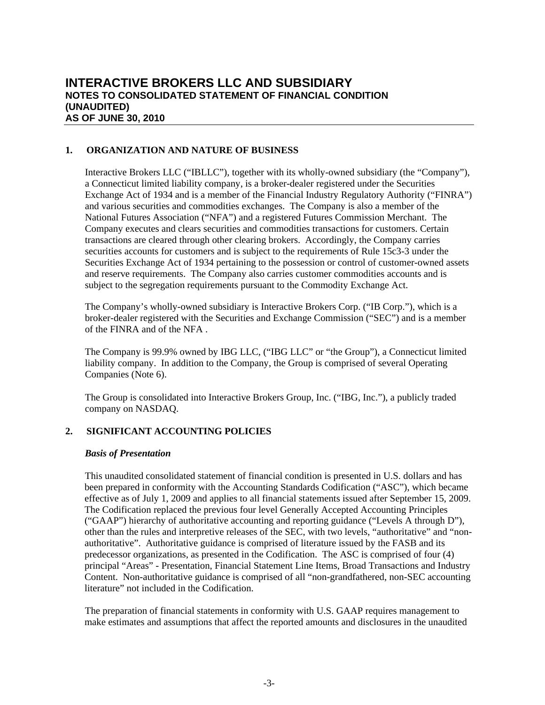## **1. ORGANIZATION AND NATURE OF BUSINESS**

Interactive Brokers LLC ("IBLLC"), together with its wholly-owned subsidiary (the "Company"), a Connecticut limited liability company, is a broker-dealer registered under the Securities Exchange Act of 1934 and is a member of the Financial Industry Regulatory Authority ("FINRA") and various securities and commodities exchanges. The Company is also a member of the National Futures Association ("NFA") and a registered Futures Commission Merchant. The Company executes and clears securities and commodities transactions for customers. Certain transactions are cleared through other clearing brokers. Accordingly, the Company carries securities accounts for customers and is subject to the requirements of Rule 15c3-3 under the Securities Exchange Act of 1934 pertaining to the possession or control of customer-owned assets and reserve requirements. The Company also carries customer commodities accounts and is subject to the segregation requirements pursuant to the Commodity Exchange Act.

The Company's wholly-owned subsidiary is Interactive Brokers Corp. ("IB Corp."), which is a broker-dealer registered with the Securities and Exchange Commission ("SEC") and is a member of the FINRA and of the NFA .

The Company is 99.9% owned by IBG LLC, ("IBG LLC" or "the Group"), a Connecticut limited liability company. In addition to the Company, the Group is comprised of several Operating Companies (Note 6).

The Group is consolidated into Interactive Brokers Group, Inc. ("IBG, Inc."), a publicly traded company on NASDAQ.

## **2. SIGNIFICANT ACCOUNTING POLICIES**

#### *Basis of Presentation*

This unaudited consolidated statement of financial condition is presented in U.S. dollars and has been prepared in conformity with the Accounting Standards Codification ("ASC"), which became effective as of July 1, 2009 and applies to all financial statements issued after September 15, 2009. The Codification replaced the previous four level Generally Accepted Accounting Principles ("GAAP") hierarchy of authoritative accounting and reporting guidance ("Levels A through D"), other than the rules and interpretive releases of the SEC, with two levels, "authoritative" and "nonauthoritative". Authoritative guidance is comprised of literature issued by the FASB and its predecessor organizations, as presented in the Codification. The ASC is comprised of four (4) principal "Areas" - Presentation, Financial Statement Line Items, Broad Transactions and Industry Content. Non-authoritative guidance is comprised of all "non-grandfathered, non-SEC accounting literature" not included in the Codification.

The preparation of financial statements in conformity with U.S. GAAP requires management to make estimates and assumptions that affect the reported amounts and disclosures in the unaudited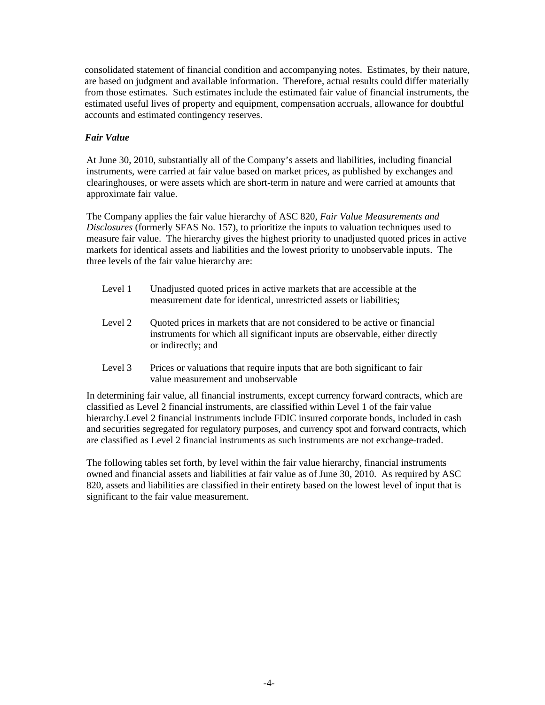consolidated statement of financial condition and accompanying notes. Estimates, by their nature, are based on judgment and available information. Therefore, actual results could differ materially from those estimates. Such estimates include the estimated fair value of financial instruments, the estimated useful lives of property and equipment, compensation accruals, allowance for doubtful accounts and estimated contingency reserves.

## *Fair Value*

At June 30, 2010, substantially all of the Company's assets and liabilities, including financial instruments, were carried at fair value based on market prices, as published by exchanges and clearinghouses, or were assets which are short-term in nature and were carried at amounts that approximate fair value.

The Company applies the fair value hierarchy of ASC 820, *Fair Value Measurements and Disclosures* (formerly SFAS No. 157), to prioritize the inputs to valuation techniques used to measure fair value. The hierarchy gives the highest priority to unadjusted quoted prices in active markets for identical assets and liabilities and the lowest priority to unobservable inputs. The three levels of the fair value hierarchy are:

- Level 1 Unadjusted quoted prices in active markets that are accessible at the measurement date for identical, unrestricted assets or liabilities;
- Level 2 Quoted prices in markets that are not considered to be active or financial instruments for which all significant inputs are observable, either directly or indirectly; and
- Level 3 Prices or valuations that require inputs that are both significant to fair value measurement and unobservable

In determining fair value, all financial instruments, except currency forward contracts, which are classified as Level 2 financial instruments, are classified within Level 1 of the fair value hierarchy.Level 2 financial instruments include FDIC insured corporate bonds, included in cash and securities segregated for regulatory purposes, and currency spot and forward contracts, which are classified as Level 2 financial instruments as such instruments are not exchange-traded.

The following tables set forth, by level within the fair value hierarchy, financial instruments owned and financial assets and liabilities at fair value as of June 30, 2010. As required by ASC 820, assets and liabilities are classified in their entirety based on the lowest level of input that is significant to the fair value measurement.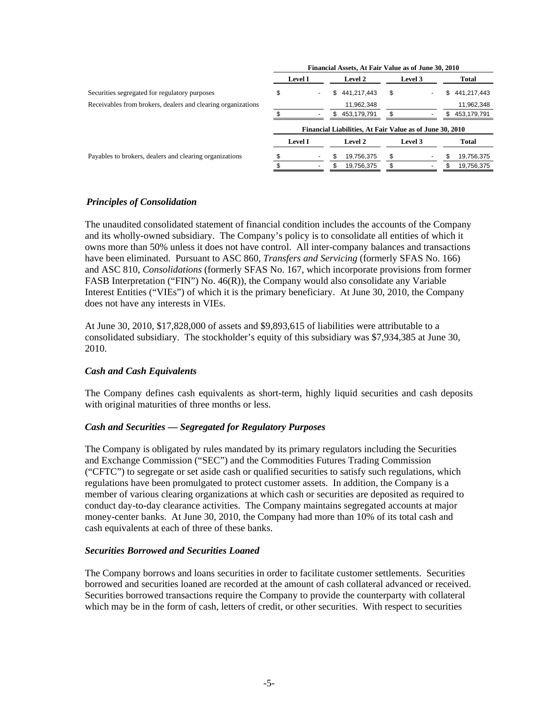|                                                              | Financial Assets, At Fair Value as of June 30, 2010 |                |     |                                                          |         |     |             |
|--------------------------------------------------------------|-----------------------------------------------------|----------------|-----|----------------------------------------------------------|---------|-----|-------------|
|                                                              |                                                     | <b>Level I</b> |     | <b>Level 2</b>                                           | Level 3 |     | Total       |
| Securities segregated for regulatory purposes                | \$                                                  |                | S.  | 441,217,443                                              | \$      | \$  | 441,217,443 |
| Receivables from brokers, dealers and clearing organizations |                                                     |                |     | 11,962,348                                               |         |     | 11,962,348  |
|                                                              |                                                     |                | \$. | 453.179.791                                              | \$      | \$. | 453,179,791 |
|                                                              |                                                     |                |     | Financial Liabilities, At Fair Value as of June 30, 2010 |         |     |             |
|                                                              |                                                     | <b>Level I</b> |     | <b>Level 2</b>                                           | Level 3 |     | Total       |
| Payables to brokers, dealers and clearing organizations      |                                                     |                |     | 19,756,375                                               | \$      | S   | 19,756,375  |
|                                                              |                                                     |                | £.  | 19,756,375                                               |         |     | 19,756,375  |
|                                                              |                                                     |                |     |                                                          |         |     |             |

## *Principles of Consolidation*

The unaudited consolidated statement of financial condition includes the accounts of the Company and its wholly-owned subsidiary. The Company's policy is to consolidate all entities of which it owns more than 50% unless it does not have control. All inter-company balances and transactions have been eliminated. Pursuant to ASC 860, *Transfers and Servicing* (formerly SFAS No. 166) and ASC 810, *Consolidations* (formerly SFAS No. 167, which incorporate provisions from former FASB Interpretation ("FIN") No. 46(R)), the Company would also consolidate any Variable Interest Entities ("VIEs") of which it is the primary beneficiary. At June 30, 2010, the Company does not have any interests in VIEs.

At June 30, 2010, \$17,828,000 of assets and \$9,893,615 of liabilities were attributable to a consolidated subsidiary. The stockholder's equity of this subsidiary was \$7,934,385 at June 30, 2010.

## *Cash and Cash Equivalents*

The Company defines cash equivalents as short-term, highly liquid securities and cash deposits with original maturities of three months or less.

## *Cash and Securities — Segregated for Regulatory Purposes*

The Company is obligated by rules mandated by its primary regulators including the Securities and Exchange Commission ("SEC") and the Commodities Futures Trading Commission ("CFTC") to segregate or set aside cash or qualified securities to satisfy such regulations, which regulations have been promulgated to protect customer assets. In addition, the Company is a member of various clearing organizations at which cash or securities are deposited as required to conduct day-to-day clearance activities. The Company maintains segregated accounts at major money-center banks. At June 30, 2010, the Company had more than 10% of its total cash and cash equivalents at each of three of these banks.

## *Securities Borrowed and Securities Loaned*

The Company borrows and loans securities in order to facilitate customer settlements. Securities borrowed and securities loaned are recorded at the amount of cash collateral advanced or received. Securities borrowed transactions require the Company to provide the counterparty with collateral which may be in the form of cash, letters of credit, or other securities. With respect to securities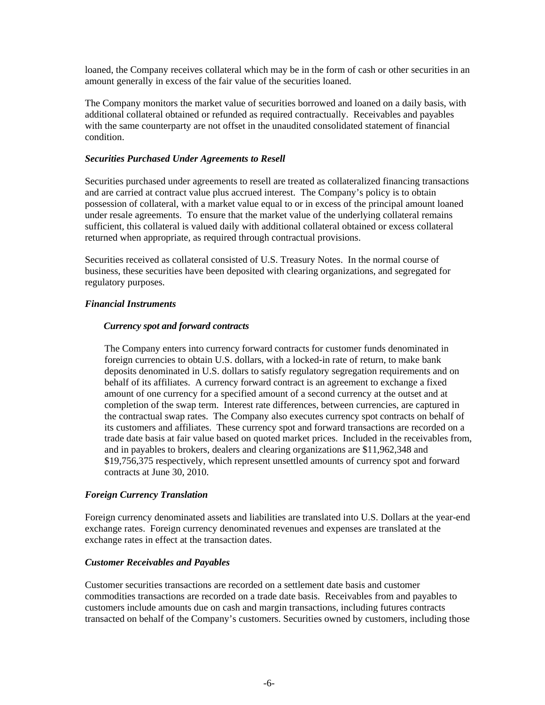loaned, the Company receives collateral which may be in the form of cash or other securities in an amount generally in excess of the fair value of the securities loaned.

The Company monitors the market value of securities borrowed and loaned on a daily basis, with additional collateral obtained or refunded as required contractually. Receivables and payables with the same counterparty are not offset in the unaudited consolidated statement of financial condition.

#### *Securities Purchased Under Agreements to Resell*

Securities purchased under agreements to resell are treated as collateralized financing transactions and are carried at contract value plus accrued interest. The Company's policy is to obtain possession of collateral, with a market value equal to or in excess of the principal amount loaned under resale agreements. To ensure that the market value of the underlying collateral remains sufficient, this collateral is valued daily with additional collateral obtained or excess collateral returned when appropriate, as required through contractual provisions.

Securities received as collateral consisted of U.S. Treasury Notes. In the normal course of business, these securities have been deposited with clearing organizations, and segregated for regulatory purposes.

#### *Financial Instruments*

#### *Currency spot and forward contracts*

The Company enters into currency forward contracts for customer funds denominated in foreign currencies to obtain U.S. dollars, with a locked-in rate of return, to make bank deposits denominated in U.S. dollars to satisfy regulatory segregation requirements and on behalf of its affiliates. A currency forward contract is an agreement to exchange a fixed amount of one currency for a specified amount of a second currency at the outset and at completion of the swap term. Interest rate differences, between currencies, are captured in the contractual swap rates. The Company also executes currency spot contracts on behalf of its customers and affiliates. These currency spot and forward transactions are recorded on a trade date basis at fair value based on quoted market prices. Included in the receivables from, and in payables to brokers, dealers and clearing organizations are \$11,962,348 and \$19,756,375 respectively, which represent unsettled amounts of currency spot and forward contracts at June 30, 2010.

## *Foreign Currency Translation*

Foreign currency denominated assets and liabilities are translated into U.S. Dollars at the year-end exchange rates. Foreign currency denominated revenues and expenses are translated at the exchange rates in effect at the transaction dates.

#### *Customer Receivables and Payables*

Customer securities transactions are recorded on a settlement date basis and customer commodities transactions are recorded on a trade date basis. Receivables from and payables to customers include amounts due on cash and margin transactions, including futures contracts transacted on behalf of the Company's customers. Securities owned by customers, including those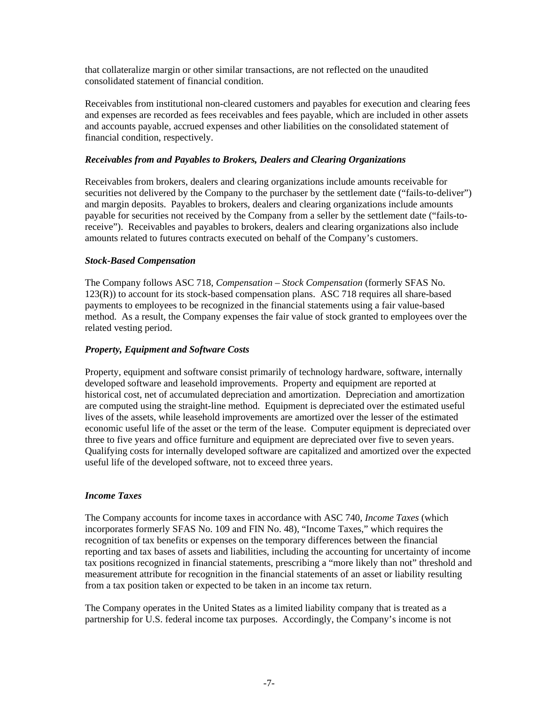that collateralize margin or other similar transactions, are not reflected on the unaudited consolidated statement of financial condition.

Receivables from institutional non-cleared customers and payables for execution and clearing fees and expenses are recorded as fees receivables and fees payable, which are included in other assets and accounts payable, accrued expenses and other liabilities on the consolidated statement of financial condition, respectively.

### *Receivables from and Payables to Brokers, Dealers and Clearing Organizations*

Receivables from brokers, dealers and clearing organizations include amounts receivable for securities not delivered by the Company to the purchaser by the settlement date ("fails-to-deliver") and margin deposits. Payables to brokers, dealers and clearing organizations include amounts payable for securities not received by the Company from a seller by the settlement date ("fails-toreceive"). Receivables and payables to brokers, dealers and clearing organizations also include amounts related to futures contracts executed on behalf of the Company's customers.

#### *Stock-Based Compensation*

The Company follows ASC 718, *Compensation – Stock Compensation* (formerly SFAS No. 123(R)) to account for its stock-based compensation plans. ASC 718 requires all share-based payments to employees to be recognized in the financial statements using a fair value-based method. As a result, the Company expenses the fair value of stock granted to employees over the related vesting period.

## *Property, Equipment and Software Costs*

Property, equipment and software consist primarily of technology hardware, software, internally developed software and leasehold improvements. Property and equipment are reported at historical cost, net of accumulated depreciation and amortization. Depreciation and amortization are computed using the straight-line method. Equipment is depreciated over the estimated useful lives of the assets, while leasehold improvements are amortized over the lesser of the estimated economic useful life of the asset or the term of the lease. Computer equipment is depreciated over three to five years and office furniture and equipment are depreciated over five to seven years. Qualifying costs for internally developed software are capitalized and amortized over the expected useful life of the developed software, not to exceed three years.

#### *Income Taxes*

The Company accounts for income taxes in accordance with ASC 740, *Income Taxes* (which incorporates formerly SFAS No. 109 and FIN No. 48), "Income Taxes," which requires the recognition of tax benefits or expenses on the temporary differences between the financial reporting and tax bases of assets and liabilities, including the accounting for uncertainty of income tax positions recognized in financial statements, prescribing a "more likely than not" threshold and measurement attribute for recognition in the financial statements of an asset or liability resulting from a tax position taken or expected to be taken in an income tax return.

The Company operates in the United States as a limited liability company that is treated as a partnership for U.S. federal income tax purposes. Accordingly, the Company's income is not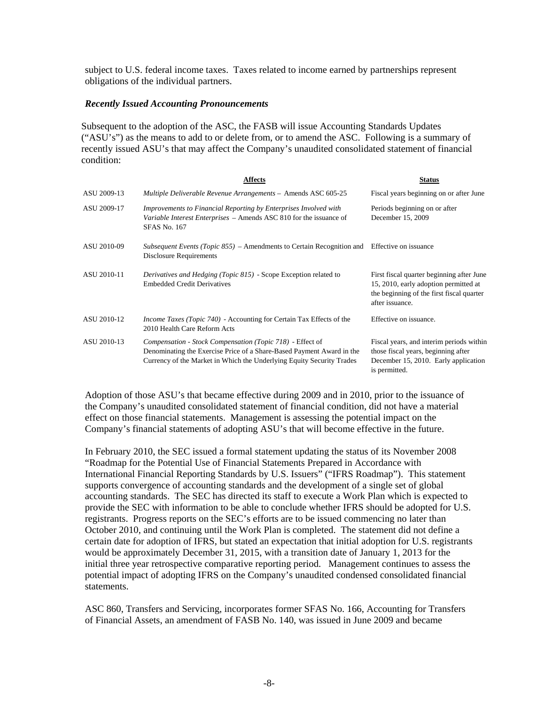subject to U.S. federal income taxes. Taxes related to income earned by partnerships represent obligations of the individual partners.

#### *Recently Issued Accounting Pronouncements*

Subsequent to the adoption of the ASC, the FASB will issue Accounting Standards Updates ("ASU's") as the means to add to or delete from, or to amend the ASC. Following is a summary of recently issued ASU's that may affect the Company's unaudited consolidated statement of financial condition:

|             | <b>Affects</b>                                                                                                                                                                                              | <b>Status</b>                                                                                                                                      |
|-------------|-------------------------------------------------------------------------------------------------------------------------------------------------------------------------------------------------------------|----------------------------------------------------------------------------------------------------------------------------------------------------|
| ASU 2009-13 | Multiple Deliverable Revenue Arrangements - Amends ASC 605-25                                                                                                                                               | Fiscal years beginning on or after June                                                                                                            |
| ASU 2009-17 | Improvements to Financial Reporting by Enterprises Involved with<br>Variable Interest Enterprises – Amends ASC 810 for the issuance of<br><b>SFAS No. 167</b>                                               | Periods beginning on or after<br>December 15, 2009                                                                                                 |
| ASU 2010-09 | Subsequent Events (Topic 855) – Amendments to Certain Recognition and Effective on issuance<br>Disclosure Requirements                                                                                      |                                                                                                                                                    |
| ASU 2010-11 | Derivatives and Hedging (Topic 815) - Scope Exception related to<br><b>Embedded Credit Derivatives</b>                                                                                                      | First fiscal quarter beginning after June<br>15, 2010, early adoption permitted at<br>the beginning of the first fiscal quarter<br>after issuance. |
| ASU 2010-12 | <i>Income Taxes (Topic 740)</i> - Accounting for Certain Tax Effects of the<br>2010 Health Care Reform Acts                                                                                                 | Effective on issuance.                                                                                                                             |
| ASU 2010-13 | Compensation - Stock Compensation (Topic 718) - Effect of<br>Denominating the Exercise Price of a Share-Based Payment Award in the<br>Currency of the Market in Which the Underlying Equity Security Trades | Fiscal years, and interim periods within<br>those fiscal years, beginning after<br>December 15, 2010. Early application<br>is permitted.           |

Adoption of those ASU's that became effective during 2009 and in 2010, prior to the issuance of the Company's unaudited consolidated statement of financial condition, did not have a material effect on those financial statements. Management is assessing the potential impact on the Company's financial statements of adopting ASU's that will become effective in the future.

In February 2010, the SEC issued a formal statement updating the status of its November 2008 "Roadmap for the Potential Use of Financial Statements Prepared in Accordance with International Financial Reporting Standards by U.S. Issuers" ("IFRS Roadmap"). This statement supports convergence of accounting standards and the development of a single set of global accounting standards. The SEC has directed its staff to execute a Work Plan which is expected to provide the SEC with information to be able to conclude whether IFRS should be adopted for U.S. registrants. Progress reports on the SEC's efforts are to be issued commencing no later than October 2010, and continuing until the Work Plan is completed. The statement did not define a certain date for adoption of IFRS, but stated an expectation that initial adoption for U.S. registrants would be approximately December 31, 2015, with a transition date of January 1, 2013 for the initial three year retrospective comparative reporting period. Management continues to assess the potential impact of adopting IFRS on the Company's unaudited condensed consolidated financial statements.

ASC 860, Transfers and Servicing, incorporates former SFAS No. 166, Accounting for Transfers of Financial Assets, an amendment of FASB No. 140, was issued in June 2009 and became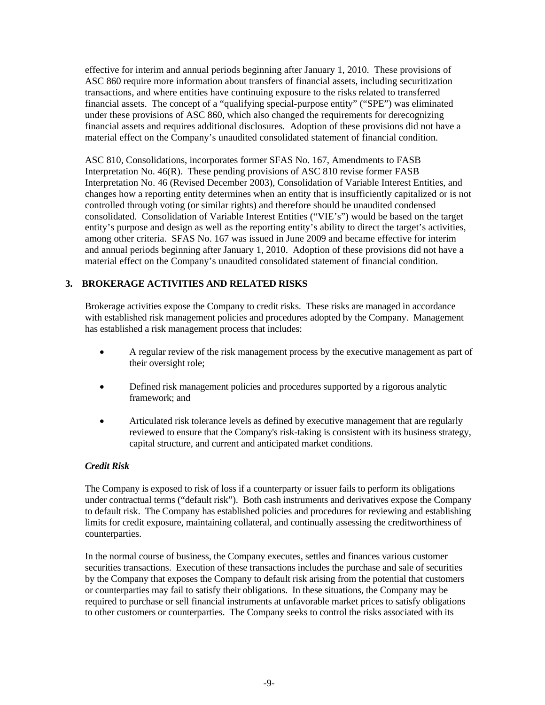effective for interim and annual periods beginning after January 1, 2010. These provisions of ASC 860 require more information about transfers of financial assets, including securitization transactions, and where entities have continuing exposure to the risks related to transferred financial assets. The concept of a "qualifying special-purpose entity" ("SPE") was eliminated under these provisions of ASC 860, which also changed the requirements for derecognizing financial assets and requires additional disclosures. Adoption of these provisions did not have a material effect on the Company's unaudited consolidated statement of financial condition.

ASC 810, Consolidations, incorporates former SFAS No. 167, Amendments to FASB Interpretation No. 46(R). These pending provisions of ASC 810 revise former FASB Interpretation No. 46 (Revised December 2003), Consolidation of Variable Interest Entities, and changes how a reporting entity determines when an entity that is insufficiently capitalized or is not controlled through voting (or similar rights) and therefore should be unaudited condensed consolidated. Consolidation of Variable Interest Entities ("VIE's") would be based on the target entity's purpose and design as well as the reporting entity's ability to direct the target's activities, among other criteria. SFAS No. 167 was issued in June 2009 and became effective for interim and annual periods beginning after January 1, 2010. Adoption of these provisions did not have a material effect on the Company's unaudited consolidated statement of financial condition.

## **3. BROKERAGE ACTIVITIES AND RELATED RISKS**

Brokerage activities expose the Company to credit risks. These risks are managed in accordance with established risk management policies and procedures adopted by the Company. Management has established a risk management process that includes:

- A regular review of the risk management process by the executive management as part of their oversight role;
- Defined risk management policies and procedures supported by a rigorous analytic framework; and
- Articulated risk tolerance levels as defined by executive management that are regularly reviewed to ensure that the Company's risk-taking is consistent with its business strategy, capital structure, and current and anticipated market conditions.

## *Credit Risk*

The Company is exposed to risk of loss if a counterparty or issuer fails to perform its obligations under contractual terms ("default risk"). Both cash instruments and derivatives expose the Company to default risk. The Company has established policies and procedures for reviewing and establishing limits for credit exposure, maintaining collateral, and continually assessing the creditworthiness of counterparties.

In the normal course of business, the Company executes, settles and finances various customer securities transactions. Execution of these transactions includes the purchase and sale of securities by the Company that exposes the Company to default risk arising from the potential that customers or counterparties may fail to satisfy their obligations. In these situations, the Company may be required to purchase or sell financial instruments at unfavorable market prices to satisfy obligations to other customers or counterparties. The Company seeks to control the risks associated with its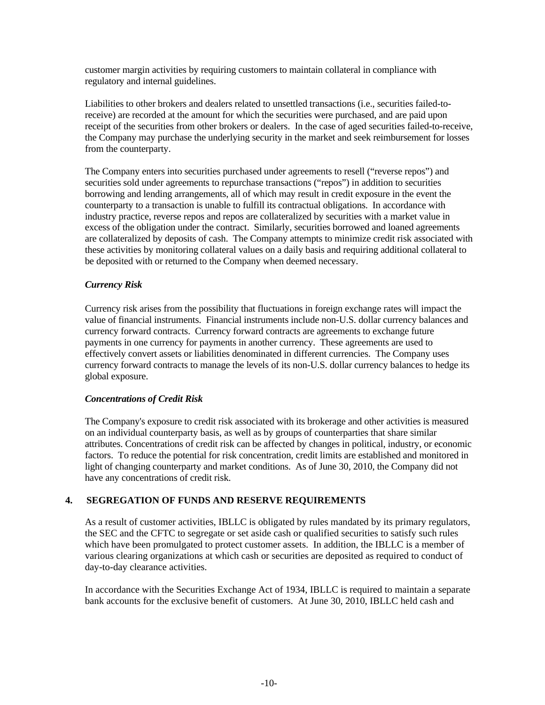customer margin activities by requiring customers to maintain collateral in compliance with regulatory and internal guidelines.

Liabilities to other brokers and dealers related to unsettled transactions (i.e., securities failed-toreceive) are recorded at the amount for which the securities were purchased, and are paid upon receipt of the securities from other brokers or dealers. In the case of aged securities failed-to-receive, the Company may purchase the underlying security in the market and seek reimbursement for losses from the counterparty.

The Company enters into securities purchased under agreements to resell ("reverse repos") and securities sold under agreements to repurchase transactions ("repos") in addition to securities borrowing and lending arrangements, all of which may result in credit exposure in the event the counterparty to a transaction is unable to fulfill its contractual obligations. In accordance with industry practice, reverse repos and repos are collateralized by securities with a market value in excess of the obligation under the contract. Similarly, securities borrowed and loaned agreements are collateralized by deposits of cash. The Company attempts to minimize credit risk associated with these activities by monitoring collateral values on a daily basis and requiring additional collateral to be deposited with or returned to the Company when deemed necessary.

## *Currency Risk*

Currency risk arises from the possibility that fluctuations in foreign exchange rates will impact the value of financial instruments. Financial instruments include non-U.S. dollar currency balances and currency forward contracts. Currency forward contracts are agreements to exchange future payments in one currency for payments in another currency. These agreements are used to effectively convert assets or liabilities denominated in different currencies. The Company uses currency forward contracts to manage the levels of its non-U.S. dollar currency balances to hedge its global exposure.

#### *Concentrations of Credit Risk*

The Company's exposure to credit risk associated with its brokerage and other activities is measured on an individual counterparty basis, as well as by groups of counterparties that share similar attributes. Concentrations of credit risk can be affected by changes in political, industry, or economic factors. To reduce the potential for risk concentration, credit limits are established and monitored in light of changing counterparty and market conditions. As of June 30, 2010, the Company did not have any concentrations of credit risk.

## **4. SEGREGATION OF FUNDS AND RESERVE REQUIREMENTS**

As a result of customer activities, IBLLC is obligated by rules mandated by its primary regulators, the SEC and the CFTC to segregate or set aside cash or qualified securities to satisfy such rules which have been promulgated to protect customer assets. In addition, the IBLLC is a member of various clearing organizations at which cash or securities are deposited as required to conduct of day-to-day clearance activities.

In accordance with the Securities Exchange Act of 1934, IBLLC is required to maintain a separate bank accounts for the exclusive benefit of customers. At June 30, 2010, IBLLC held cash and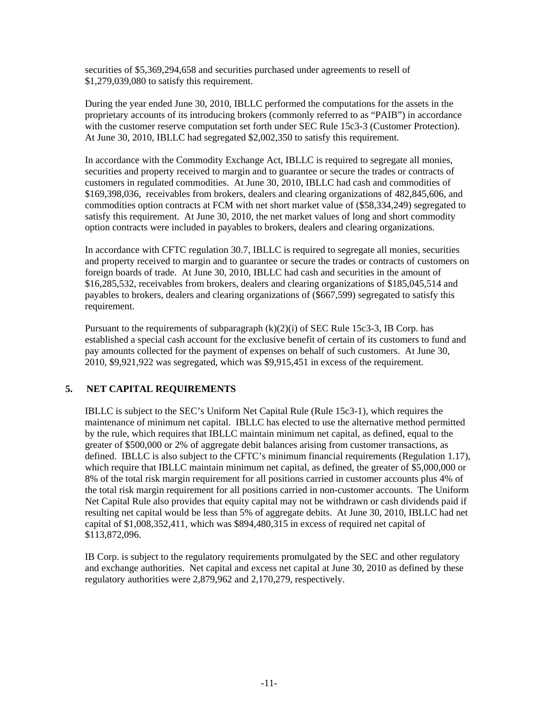securities of \$5,369,294,658 and securities purchased under agreements to resell of \$1,279,039,080 to satisfy this requirement.

During the year ended June 30, 2010, IBLLC performed the computations for the assets in the proprietary accounts of its introducing brokers (commonly referred to as "PAIB") in accordance with the customer reserve computation set forth under SEC Rule 15c3-3 (Customer Protection). At June 30, 2010, IBLLC had segregated \$2,002,350 to satisfy this requirement.

In accordance with the Commodity Exchange Act, IBLLC is required to segregate all monies, securities and property received to margin and to guarantee or secure the trades or contracts of customers in regulated commodities. At June 30, 2010, IBLLC had cash and commodities of \$169,398,036, receivables from brokers, dealers and clearing organizations of 482,845,606, and commodities option contracts at FCM with net short market value of (\$58,334,249) segregated to satisfy this requirement. At June 30, 2010, the net market values of long and short commodity option contracts were included in payables to brokers, dealers and clearing organizations.

In accordance with CFTC regulation 30.7, IBLLC is required to segregate all monies, securities and property received to margin and to guarantee or secure the trades or contracts of customers on foreign boards of trade. At June 30, 2010, IBLLC had cash and securities in the amount of \$16,285,532, receivables from brokers, dealers and clearing organizations of \$185,045,514 and payables to brokers, dealers and clearing organizations of (\$667,599) segregated to satisfy this requirement.

Pursuant to the requirements of subparagraph  $(k)(2)(i)$  of SEC Rule 15c3-3, IB Corp. has established a special cash account for the exclusive benefit of certain of its customers to fund and pay amounts collected for the payment of expenses on behalf of such customers. At June 30, 2010, \$9,921,922 was segregated, which was \$9,915,451 in excess of the requirement.

## **5. NET CAPITAL REQUIREMENTS**

IBLLC is subject to the SEC's Uniform Net Capital Rule (Rule 15c3-1), which requires the maintenance of minimum net capital. IBLLC has elected to use the alternative method permitted by the rule, which requires that IBLLC maintain minimum net capital, as defined, equal to the greater of \$500,000 or 2% of aggregate debit balances arising from customer transactions, as defined. IBLLC is also subject to the CFTC's minimum financial requirements (Regulation 1.17), which require that IBLLC maintain minimum net capital, as defined, the greater of \$5,000,000 or 8% of the total risk margin requirement for all positions carried in customer accounts plus 4% of the total risk margin requirement for all positions carried in non-customer accounts. The Uniform Net Capital Rule also provides that equity capital may not be withdrawn or cash dividends paid if resulting net capital would be less than 5% of aggregate debits. At June 30, 2010, IBLLC had net capital of \$1,008,352,411, which was \$894,480,315 in excess of required net capital of \$113,872,096.

IB Corp. is subject to the regulatory requirements promulgated by the SEC and other regulatory and exchange authorities. Net capital and excess net capital at June 30, 2010 as defined by these regulatory authorities were 2,879,962 and 2,170,279, respectively.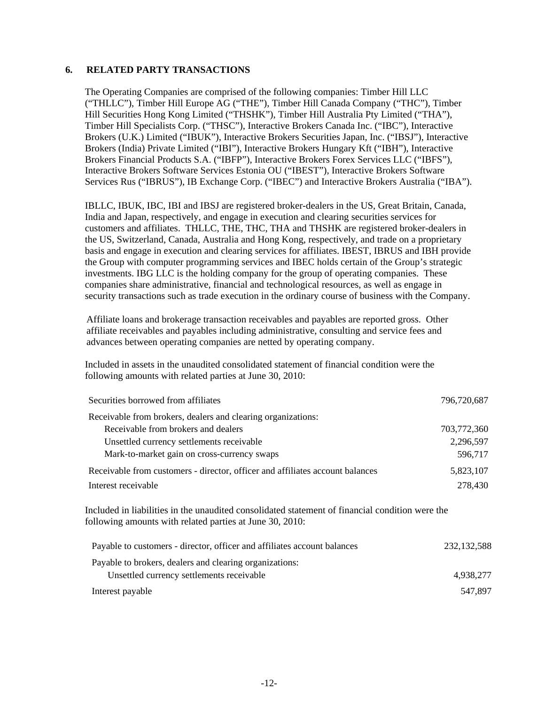#### **6. RELATED PARTY TRANSACTIONS**

The Operating Companies are comprised of the following companies: Timber Hill LLC ("THLLC"), Timber Hill Europe AG ("THE"), Timber Hill Canada Company ("THC"), Timber Hill Securities Hong Kong Limited ("THSHK"), Timber Hill Australia Pty Limited ("THA"), Timber Hill Specialists Corp. ("THSC"), Interactive Brokers Canada Inc. ("IBC"), Interactive Brokers (U.K.) Limited ("IBUK"), Interactive Brokers Securities Japan, Inc. ("IBSJ"), Interactive Brokers (India) Private Limited ("IBI"), Interactive Brokers Hungary Kft ("IBH"), Interactive Brokers Financial Products S.A. ("IBFP"), Interactive Brokers Forex Services LLC ("IBFS"), Interactive Brokers Software Services Estonia OU ("IBEST"), Interactive Brokers Software Services Rus ("IBRUS"), IB Exchange Corp. ("IBEC") and Interactive Brokers Australia ("IBA").

IBLLC, IBUK, IBC, IBI and IBSJ are registered broker-dealers in the US, Great Britain, Canada, India and Japan, respectively, and engage in execution and clearing securities services for customers and affiliates. THLLC, THE, THC, THA and THSHK are registered broker-dealers in the US, Switzerland, Canada, Australia and Hong Kong, respectively, and trade on a proprietary basis and engage in execution and clearing services for affiliates. IBEST, IBRUS and IBH provide the Group with computer programming services and IBEC holds certain of the Group's strategic investments. IBG LLC is the holding company for the group of operating companies. These companies share administrative, financial and technological resources, as well as engage in security transactions such as trade execution in the ordinary course of business with the Company.

Affiliate loans and brokerage transaction receivables and payables are reported gross. Other affiliate receivables and payables including administrative, consulting and service fees and advances between operating companies are netted by operating company.

Included in assets in the unaudited consolidated statement of financial condition were the following amounts with related parties at June 30, 2010:

| Securities borrowed from affiliates                                                                                                                         | 796,720,687   |
|-------------------------------------------------------------------------------------------------------------------------------------------------------------|---------------|
| Receivable from brokers, dealers and clearing organizations:                                                                                                |               |
| Receivable from brokers and dealers                                                                                                                         | 703,772,360   |
| Unsettled currency settlements receivable                                                                                                                   | 2,296,597     |
| Mark-to-market gain on cross-currency swaps                                                                                                                 | 596,717       |
| Receivable from customers - director, officer and affiliates account balances                                                                               | 5,823,107     |
| Interest receivable                                                                                                                                         | 278,430       |
| Included in liabilities in the unaudited consolidated statement of financial condition were the<br>following amounts with related parties at June 30, 2010: |               |
| Payable to customers - director, officer and affiliates account balances                                                                                    | 232, 132, 588 |
| Payable to brokers, dealers and clearing organizations:                                                                                                     |               |
| Unsettled currency settlements receivable                                                                                                                   | 4,938,277     |
| Interest payable                                                                                                                                            | 547,897       |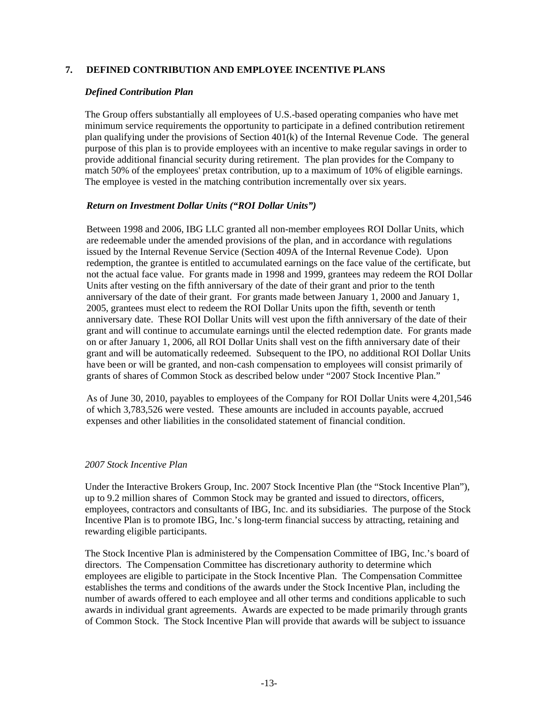## **7. DEFINED CONTRIBUTION AND EMPLOYEE INCENTIVE PLANS**

#### *Defined Contribution Plan*

The Group offers substantially all employees of U.S.-based operating companies who have met minimum service requirements the opportunity to participate in a defined contribution retirement plan qualifying under the provisions of Section 401(k) of the Internal Revenue Code. The general purpose of this plan is to provide employees with an incentive to make regular savings in order to provide additional financial security during retirement. The plan provides for the Company to match 50% of the employees' pretax contribution, up to a maximum of 10% of eligible earnings. The employee is vested in the matching contribution incrementally over six years.

#### *Return on Investment Dollar Units ("ROI Dollar Units")*

Between 1998 and 2006, IBG LLC granted all non-member employees ROI Dollar Units, which are redeemable under the amended provisions of the plan, and in accordance with regulations issued by the Internal Revenue Service (Section 409A of the Internal Revenue Code). Upon redemption, the grantee is entitled to accumulated earnings on the face value of the certificate, but not the actual face value. For grants made in 1998 and 1999, grantees may redeem the ROI Dollar Units after vesting on the fifth anniversary of the date of their grant and prior to the tenth anniversary of the date of their grant. For grants made between January 1, 2000 and January 1, 2005, grantees must elect to redeem the ROI Dollar Units upon the fifth, seventh or tenth anniversary date. These ROI Dollar Units will vest upon the fifth anniversary of the date of their grant and will continue to accumulate earnings until the elected redemption date. For grants made on or after January 1, 2006, all ROI Dollar Units shall vest on the fifth anniversary date of their grant and will be automatically redeemed. Subsequent to the IPO, no additional ROI Dollar Units have been or will be granted, and non-cash compensation to employees will consist primarily of grants of shares of Common Stock as described below under "2007 Stock Incentive Plan."

As of June 30, 2010, payables to employees of the Company for ROI Dollar Units were 4,201,546 of which 3,783,526 were vested. These amounts are included in accounts payable, accrued expenses and other liabilities in the consolidated statement of financial condition.

#### *2007 Stock Incentive Plan*

Under the Interactive Brokers Group, Inc. 2007 Stock Incentive Plan (the "Stock Incentive Plan"), up to 9.2 million shares of Common Stock may be granted and issued to directors, officers, employees, contractors and consultants of IBG, Inc. and its subsidiaries. The purpose of the Stock Incentive Plan is to promote IBG, Inc.'s long-term financial success by attracting, retaining and rewarding eligible participants.

The Stock Incentive Plan is administered by the Compensation Committee of IBG, Inc.'s board of directors. The Compensation Committee has discretionary authority to determine which employees are eligible to participate in the Stock Incentive Plan. The Compensation Committee establishes the terms and conditions of the awards under the Stock Incentive Plan, including the number of awards offered to each employee and all other terms and conditions applicable to such awards in individual grant agreements. Awards are expected to be made primarily through grants of Common Stock. The Stock Incentive Plan will provide that awards will be subject to issuance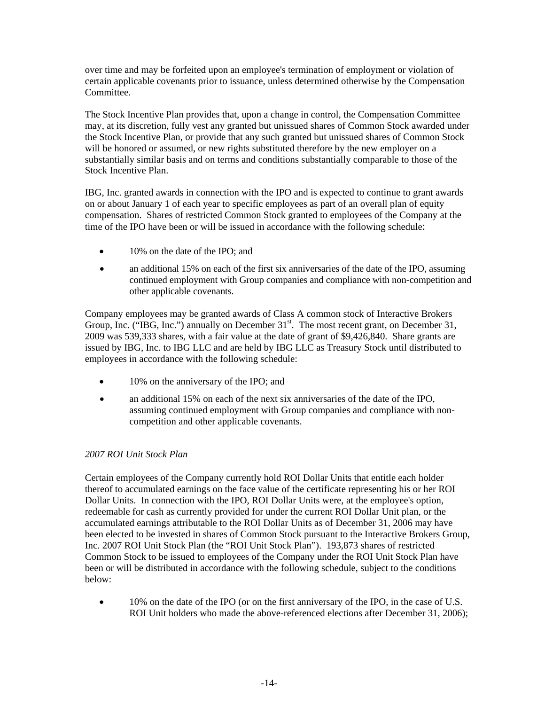over time and may be forfeited upon an employee's termination of employment or violation of certain applicable covenants prior to issuance, unless determined otherwise by the Compensation **Committee** 

The Stock Incentive Plan provides that, upon a change in control, the Compensation Committee may, at its discretion, fully vest any granted but unissued shares of Common Stock awarded under the Stock Incentive Plan, or provide that any such granted but unissued shares of Common Stock will be honored or assumed, or new rights substituted therefore by the new employer on a substantially similar basis and on terms and conditions substantially comparable to those of the Stock Incentive Plan.

IBG, Inc. granted awards in connection with the IPO and is expected to continue to grant awards on or about January 1 of each year to specific employees as part of an overall plan of equity compensation. Shares of restricted Common Stock granted to employees of the Company at the time of the IPO have been or will be issued in accordance with the following schedule:

- 10% on the date of the IPO; and
- an additional 15% on each of the first six anniversaries of the date of the IPO, assuming continued employment with Group companies and compliance with non-competition and other applicable covenants.

Company employees may be granted awards of Class A common stock of Interactive Brokers Group, Inc. ("IBG, Inc.") annually on December  $31<sup>st</sup>$ . The most recent grant, on December 31, 2009 was 539,333 shares, with a fair value at the date of grant of \$9,426,840. Share grants are issued by IBG, Inc. to IBG LLC and are held by IBG LLC as Treasury Stock until distributed to employees in accordance with the following schedule:

- 10% on the anniversary of the IPO; and
- an additional 15% on each of the next six anniversaries of the date of the IPO, assuming continued employment with Group companies and compliance with noncompetition and other applicable covenants.

## *2007 ROI Unit Stock Plan*

Certain employees of the Company currently hold ROI Dollar Units that entitle each holder thereof to accumulated earnings on the face value of the certificate representing his or her ROI Dollar Units. In connection with the IPO, ROI Dollar Units were, at the employee's option, redeemable for cash as currently provided for under the current ROI Dollar Unit plan, or the accumulated earnings attributable to the ROI Dollar Units as of December 31, 2006 may have been elected to be invested in shares of Common Stock pursuant to the Interactive Brokers Group, Inc. 2007 ROI Unit Stock Plan (the "ROI Unit Stock Plan"). 193,873 shares of restricted Common Stock to be issued to employees of the Company under the ROI Unit Stock Plan have been or will be distributed in accordance with the following schedule, subject to the conditions below:

• 10% on the date of the IPO (or on the first anniversary of the IPO, in the case of U.S. ROI Unit holders who made the above-referenced elections after December 31, 2006);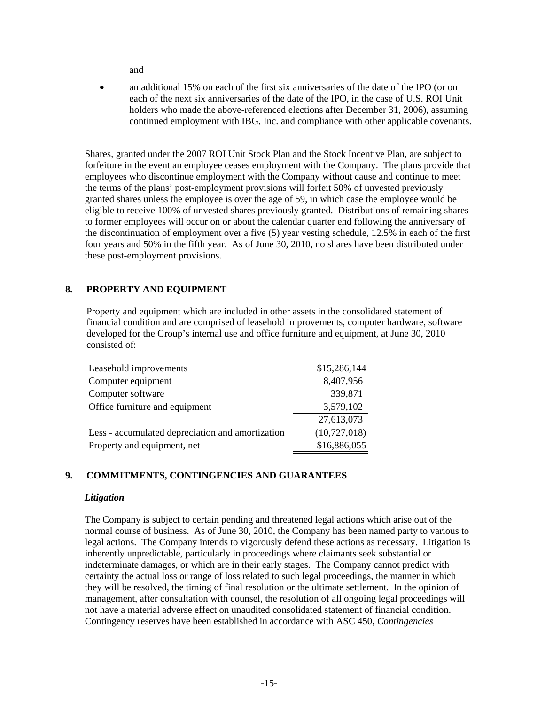and

• an additional 15% on each of the first six anniversaries of the date of the IPO (or on each of the next six anniversaries of the date of the IPO, in the case of U.S. ROI Unit holders who made the above-referenced elections after December 31, 2006), assuming continued employment with IBG, Inc. and compliance with other applicable covenants.

Shares, granted under the 2007 ROI Unit Stock Plan and the Stock Incentive Plan, are subject to forfeiture in the event an employee ceases employment with the Company. The plans provide that employees who discontinue employment with the Company without cause and continue to meet the terms of the plans' post-employment provisions will forfeit 50% of unvested previously granted shares unless the employee is over the age of 59, in which case the employee would be eligible to receive 100% of unvested shares previously granted. Distributions of remaining shares to former employees will occur on or about the calendar quarter end following the anniversary of the discontinuation of employment over a five (5) year vesting schedule, 12.5% in each of the first four years and 50% in the fifth year. As of June 30, 2010, no shares have been distributed under these post-employment provisions.

## **8. PROPERTY AND EQUIPMENT**

Property and equipment which are included in other assets in the consolidated statement of financial condition and are comprised of leasehold improvements, computer hardware, software developed for the Group's internal use and office furniture and equipment, at June 30, 2010 consisted of:

| Leasehold improvements                           | \$15,286,144 |
|--------------------------------------------------|--------------|
| Computer equipment                               | 8,407,956    |
| Computer software                                | 339,871      |
| Office furniture and equipment                   | 3,579,102    |
|                                                  | 27,613,073   |
| Less - accumulated depreciation and amortization | (10,727,018) |
| Property and equipment, net                      | \$16,886,055 |

## **9. COMMITMENTS, CONTINGENCIES AND GUARANTEES**

## *Litigation*

The Company is subject to certain pending and threatened legal actions which arise out of the normal course of business. As of June 30, 2010, the Company has been named party to various to legal actions. The Company intends to vigorously defend these actions as necessary. Litigation is inherently unpredictable, particularly in proceedings where claimants seek substantial or indeterminate damages, or which are in their early stages. The Company cannot predict with certainty the actual loss or range of loss related to such legal proceedings, the manner in which they will be resolved, the timing of final resolution or the ultimate settlement. In the opinion of management, after consultation with counsel, the resolution of all ongoing legal proceedings will not have a material adverse effect on unaudited consolidated statement of financial condition. Contingency reserves have been established in accordance with ASC 450, *Contingencies*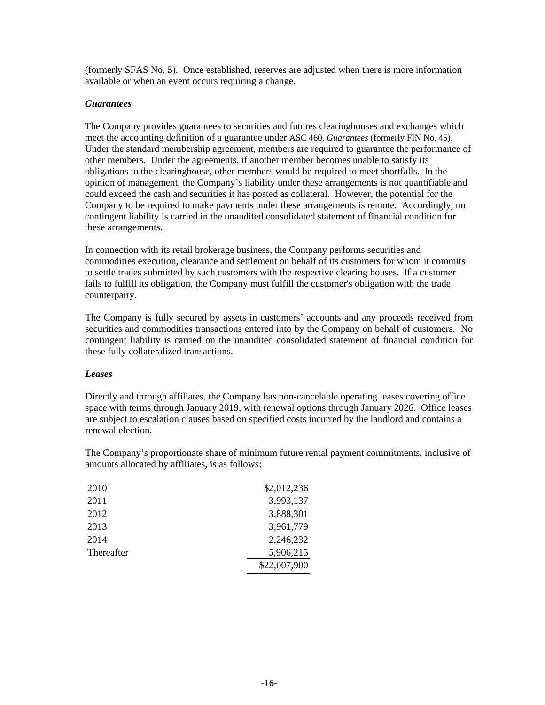(formerly SFAS No. 5)*.* Once established, reserves are adjusted when there is more information available or when an event occurs requiring a change.

### *Guarantees*

The Company provides guarantees to securities and futures clearinghouses and exchanges which meet the accounting definition of a guarantee under ASC 460, *Guarantees* (formerly FIN No. 45). Under the standard membership agreement, members are required to guarantee the performance of other members. Under the agreements, if another member becomes unable to satisfy its obligations to the clearinghouse, other members would be required to meet shortfalls. In the opinion of management, the Company's liability under these arrangements is not quantifiable and could exceed the cash and securities it has posted as collateral. However, the potential for the Company to be required to make payments under these arrangements is remote. Accordingly, no contingent liability is carried in the unaudited consolidated statement of financial condition for these arrangements.

In connection with its retail brokerage business, the Company performs securities and commodities execution, clearance and settlement on behalf of its customers for whom it commits to settle trades submitted by such customers with the respective clearing houses. If a customer fails to fulfill its obligation, the Company must fulfill the customer's obligation with the trade counterparty.

The Company is fully secured by assets in customers' accounts and any proceeds received from securities and commodities transactions entered into by the Company on behalf of customers. No contingent liability is carried on the unaudited consolidated statement of financial condition for these fully collateralized transactions.

## *Leases*

Directly and through affiliates, the Company has non-cancelable operating leases covering office space with terms through January 2019, with renewal options through January 2026. Office leases are subject to escalation clauses based on specified costs incurred by the landlord and contains a renewal election.

The Company's proportionate share of minimum future rental payment commitments, inclusive of amounts allocated by affiliates, is as follows:

| 2010       | \$2,012,236  |
|------------|--------------|
| 2011       | 3,993,137    |
| 2012       | 3,888,301    |
| 2013       | 3,961,779    |
| 2014       | 2,246,232    |
| Thereafter | 5,906,215    |
|            | \$22,007,900 |